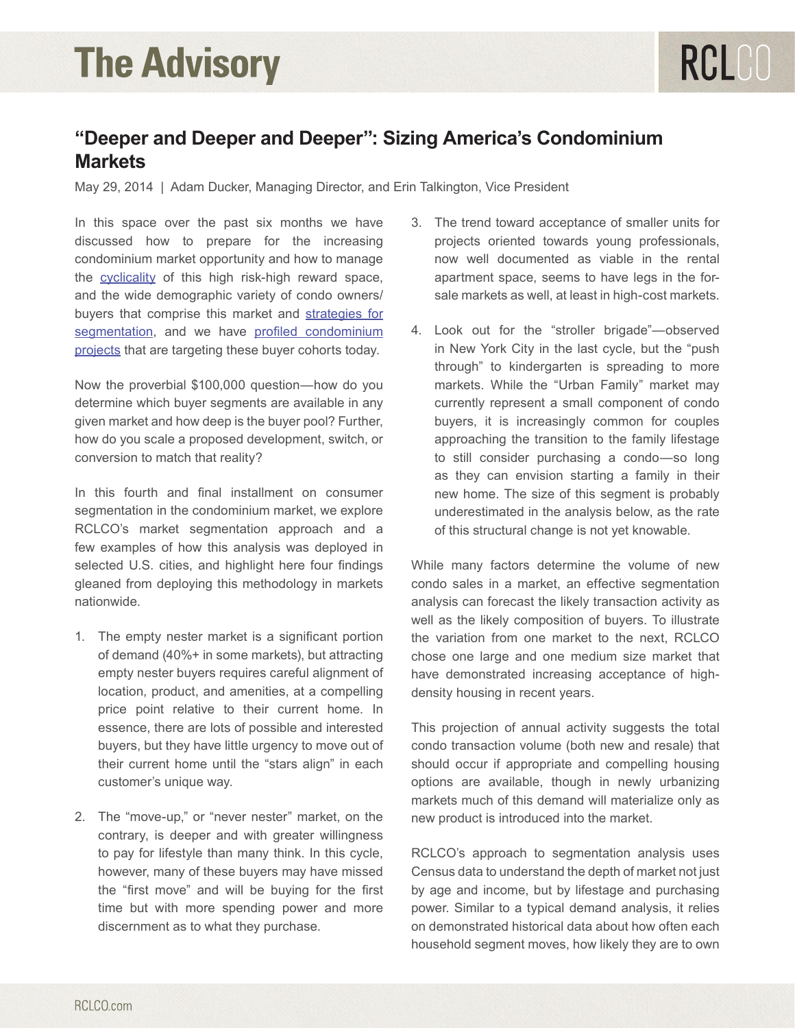### **"Deeper and Deeper and Deeper": Sizing America's Condominium Markets**

May 29, 2014 | Adam Ducker, Managing Director, and Erin Talkington, Vice President

In this space over the past six months we have discussed how to prepare for the increasing condominium market opportunity and how to manage the [cyclicality](http://www.rclco.com/advisory-condo-recovery-underway-and-likely-to-accelerate) of this high risk-high reward space, and the wide demographic variety of condo owners/ buyers that comprise this market and [strategies for](http://www.rclco.com/advisory-condos-whats-working-now) [segmentation,](http://www.rclco.com/advisory-condos-whats-working-now) and we have [profiled condominium](http://www.rclco.com/advisory-condos-whats-working-now) [projects](http://www.rclco.com/advisory-condos-whats-working-now) that are targeting these buyer cohorts today.

Now the proverbial \$100,000 question—how do you determine which buyer segments are available in any given market and how deep is the buyer pool? Further, how do you scale a proposed development, switch, or conversion to match that reality?

In this fourth and final installment on consumer segmentation in the condominium market, we explore RCLCO's market segmentation approach and a few examples of how this analysis was deployed in selected U.S. cities, and highlight here four findings gleaned from deploying this methodology in markets nationwide.

- 1. The empty nester market is a significant portion of demand (40%+ in some markets), but attracting empty nester buyers requires careful alignment of location, product, and amenities, at a compelling price point relative to their current home. In essence, there are lots of possible and interested buyers, but they have little urgency to move out of their current home until the "stars align" in each customer's unique way.
- 2. The "move-up," or "never nester" market, on the contrary, is deeper and with greater willingness to pay for lifestyle than many think. In this cycle, however, many of these buyers may have missed the "first move" and will be buying for the first time but with more spending power and more discernment as to what they purchase.
- 3. The trend toward acceptance of smaller units for projects oriented towards young professionals, now well documented as viable in the rental apartment space, seems to have legs in the forsale markets as well, at least in high-cost markets.
- 4. Look out for the "stroller brigade"—observed in New York City in the last cycle, but the "push through" to kindergarten is spreading to more markets. While the "Urban Family" market may currently represent a small component of condo buyers, it is increasingly common for couples approaching the transition to the family lifestage to still consider purchasing a condo—so long as they can envision starting a family in their new home. The size of this segment is probably underestimated in the analysis below, as the rate of this structural change is not yet knowable.

While many factors determine the volume of new condo sales in a market, an effective segmentation analysis can forecast the likely transaction activity as well as the likely composition of buyers. To illustrate the variation from one market to the next, RCLCO chose one large and one medium size market that have demonstrated increasing acceptance of highdensity housing in recent years.

This projection of annual activity suggests the total condo transaction volume (both new and resale) that should occur if appropriate and compelling housing options are available, though in newly urbanizing markets much of this demand will materialize only as new product is introduced into the market.

RCLCO's approach to segmentation analysis uses Census data to understand the depth of market not just by age and income, but by lifestage and purchasing power. Similar to a typical demand analysis, it relies on demonstrated historical data about how often each household segment moves, how likely they are to own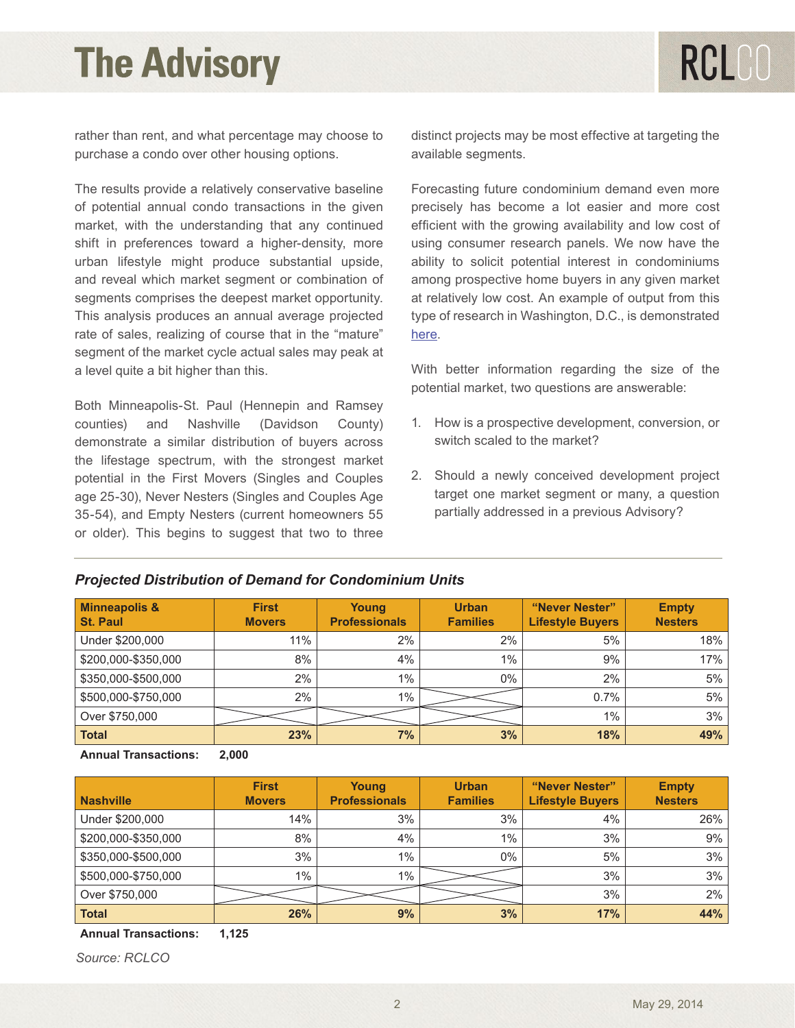rather than rent, and what percentage may choose to purchase a condo over other housing options.

The results provide a relatively conservative baseline of potential annual condo transactions in the given market, with the understanding that any continued shift in preferences toward a higher-density, more urban lifestyle might produce substantial upside, and reveal which market segment or combination of segments comprises the deepest market opportunity. This analysis produces an annual average projected rate of sales, realizing of course that in the "mature" segment of the market cycle actual sales may peak at a level quite a bit higher than this.

Both Minneapolis-St. Paul (Hennepin and Ramsey counties) and Nashville (Davidson County) demonstrate a similar distribution of buyers across the lifestage spectrum, with the strongest market potential in the First Movers (Singles and Couples age 25-30), Never Nesters (Singles and Couples Age 35-54), and Empty Nesters (current homeowners 55 or older). This begins to suggest that two to three

distinct projects may be most effective at targeting the available segments.

Forecasting future condominium demand even more precisely has become a lot easier and more cost efficient with the growing availability and low cost of using consumer research panels. We now have the ability to solicit potential interest in condominiums among prospective home buyers in any given market at relatively low cost. An example of output from this type of research in Washington, D.C., is demonstrated [here.](http://www.rclco.com/advisory-empty-nester-for-rent)

With better information regarding the size of the potential market, two questions are answerable:

- 1. How is a prospective development, conversion, or switch scaled to the market?
- 2. Should a newly conceived development project target one market segment or many, a question partially addressed in a previous Advisory?

| <b>Minneapolis &amp;</b><br><b>St. Paul</b> | <b>First</b><br><b>Movers</b> | Young<br><b>Professionals</b> | <b>Urban</b><br><b>Families</b> | "Never Nester"<br><b>Lifestyle Buyers</b> | <b>Empty</b><br><b>Nesters</b> |
|---------------------------------------------|-------------------------------|-------------------------------|---------------------------------|-------------------------------------------|--------------------------------|
| Under \$200,000                             | 11%                           | 2%                            | 2%                              | 5%                                        | 18%                            |
| \$200,000-\$350,000                         | 8%                            | 4%                            | $1\%$                           | 9%                                        | 17%                            |
| \$350,000-\$500,000                         | 2%                            | $1\%$                         | $0\%$                           | 2%                                        | 5%                             |
| \$500,000-\$750,000                         | 2%                            | 1%                            |                                 | 0.7%                                      | 5%                             |
| Over \$750,000                              |                               |                               |                                 | 1%                                        | 3%                             |
| <b>Total</b>                                | 23%                           | 7%                            | 3%                              | 18%                                       | 49%                            |

#### *Projected Distribution of Demand for Condominium Units*

**Annual Transactions: 2,000**

| <b>Nashville</b>    | <b>First</b><br><b>Movers</b> | Young<br><b>Professionals</b> | <b>Urban</b><br><b>Families</b> | "Never Nester"<br><b>Lifestyle Buyers</b> | <b>Empty</b><br><b>Nesters</b> |
|---------------------|-------------------------------|-------------------------------|---------------------------------|-------------------------------------------|--------------------------------|
| Under \$200,000     | 14%                           | 3%                            | 3%                              | 4%                                        | 26%                            |
| \$200,000-\$350,000 | 8%                            | 4%                            | 1%                              | 3%                                        | 9%                             |
| \$350,000-\$500,000 | 3%                            | $1\%$                         | 0%                              | 5%                                        | 3%                             |
| \$500,000-\$750,000 | $1\%$                         | $1\%$                         |                                 | 3%                                        | 3%                             |
| Over \$750,000      |                               |                               |                                 | 3%                                        | 2%                             |
| Total               | 26%                           | 9%                            | 3%                              | 17%                                       | 44%                            |

**Annual Transactions: 1,125**

*Source: RCLCO*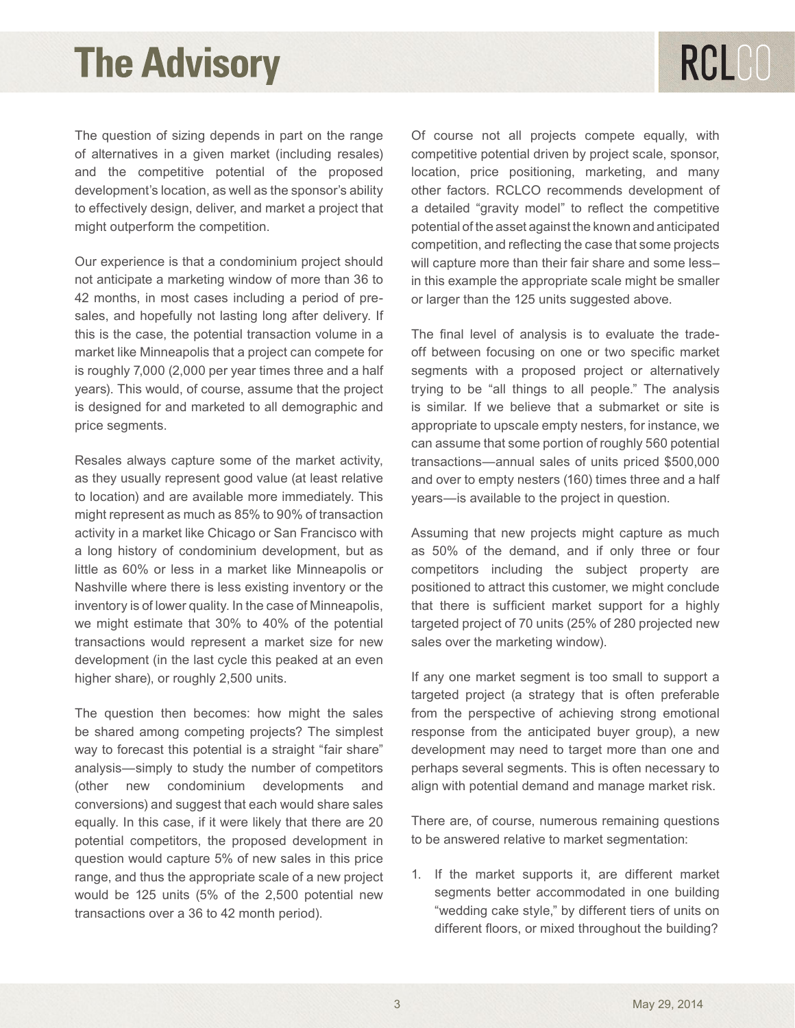The question of sizing depends in part on the range of alternatives in a given market (including resales) and the competitive potential of the proposed development's location, as well as the sponsor's ability to effectively design, deliver, and market a project that might outperform the competition.

Our experience is that a condominium project should not anticipate a marketing window of more than 36 to 42 months, in most cases including a period of presales, and hopefully not lasting long after delivery. If this is the case, the potential transaction volume in a market like Minneapolis that a project can compete for is roughly 7,000 (2,000 per year times three and a half years). This would, of course, assume that the project is designed for and marketed to all demographic and price segments.

Resales always capture some of the market activity, as they usually represent good value (at least relative to location) and are available more immediately. This might represent as much as 85% to 90% of transaction activity in a market like Chicago or San Francisco with a long history of condominium development, but as little as 60% or less in a market like Minneapolis or Nashville where there is less existing inventory or the inventory is of lower quality. In the case of Minneapolis, we might estimate that 30% to 40% of the potential transactions would represent a market size for new development (in the last cycle this peaked at an even higher share), or roughly 2,500 units.

The question then becomes: how might the sales be shared among competing projects? The simplest way to forecast this potential is a straight "fair share" analysis—simply to study the number of competitors (other new condominium developments and conversions) and suggest that each would share sales equally. In this case, if it were likely that there are 20 potential competitors, the proposed development in question would capture 5% of new sales in this price range, and thus the appropriate scale of a new project would be 125 units (5% of the 2,500 potential new transactions over a 36 to 42 month period).

Of course not all projects compete equally, with competitive potential driven by project scale, sponsor, location, price positioning, marketing, and many other factors. RCLCO recommends development of a detailed "gravity model" to reflect the competitive potential of the asset against the known and anticipated competition, and reflecting the case that some projects will capture more than their fair share and some less– in this example the appropriate scale might be smaller or larger than the 125 units suggested above.

The final level of analysis is to evaluate the tradeoff between focusing on one or two specific market segments with a proposed project or alternatively trying to be "all things to all people." The analysis is similar. If we believe that a submarket or site is appropriate to upscale empty nesters, for instance, we can assume that some portion of roughly 560 potential transactions—annual sales of units priced \$500,000 and over to empty nesters (160) times three and a half years—is available to the project in question.

Assuming that new projects might capture as much as 50% of the demand, and if only three or four competitors including the subject property are positioned to attract this customer, we might conclude that there is sufficient market support for a highly targeted project of 70 units (25% of 280 projected new sales over the marketing window).

If any one market segment is too small to support a targeted project (a strategy that is often preferable from the perspective of achieving strong emotional response from the anticipated buyer group), a new development may need to target more than one and perhaps several segments. This is often necessary to align with potential demand and manage market risk.

There are, of course, numerous remaining questions to be answered relative to market segmentation:

1. If the market supports it, are different market segments better accommodated in one building "wedding cake style," by different tiers of units on different floors, or mixed throughout the building?